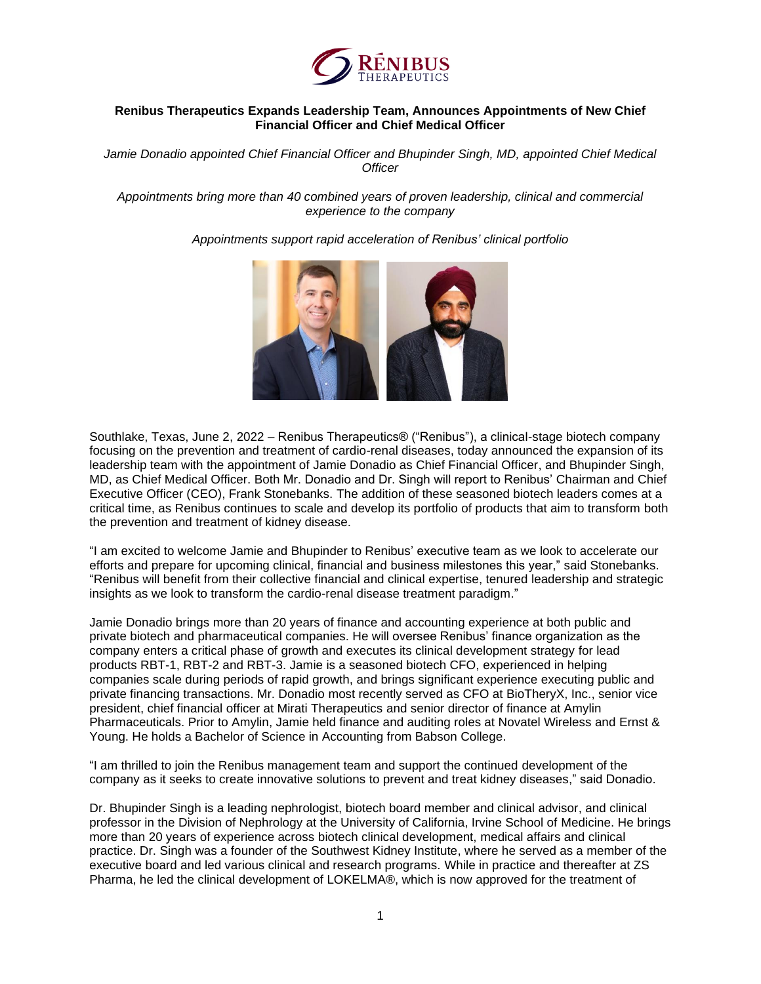

## **Renibus Therapeutics Expands Leadership Team, Announces Appointments of New Chief Financial Officer and Chief Medical Officer**

*Jamie Donadio appointed Chief Financial Officer and Bhupinder Singh, MD, appointed Chief Medical Officer*

*Appointments bring more than 40 combined years of proven leadership, clinical and commercial experience to the company*

*Appointments support rapid acceleration of Renibus' clinical portfolio*



Southlake, Texas, June 2, 2022 – Renibus Therapeutics® ("Renibus"), a clinical-stage biotech company focusing on the prevention and treatment of cardio-renal diseases, today announced the expansion of its leadership team with the appointment of Jamie Donadio as Chief Financial Officer, and Bhupinder Singh, MD, as Chief Medical Officer. Both Mr. Donadio and Dr. Singh will report to Renibus' Chairman and Chief Executive Officer (CEO), Frank Stonebanks. The addition of these seasoned biotech leaders comes at a critical time, as Renibus continues to scale and develop its portfolio of products that aim to transform both the prevention and treatment of kidney disease.

"I am excited to welcome Jamie and Bhupinder to Renibus' executive team as we look to accelerate our efforts and prepare for upcoming clinical, financial and business milestones this year," said Stonebanks. "Renibus will benefit from their collective financial and clinical expertise, tenured leadership and strategic insights as we look to transform the cardio-renal disease treatment paradigm."

Jamie Donadio brings more than 20 years of finance and accounting experience at both public and private biotech and pharmaceutical companies. He will oversee Renibus' finance organization as the company enters a critical phase of growth and executes its clinical development strategy for lead products RBT-1, RBT-2 and RBT-3. Jamie is a seasoned biotech CFO, experienced in helping companies scale during periods of rapid growth, and brings significant experience executing public and private financing transactions. Mr. Donadio most recently served as CFO at BioTheryX, Inc., senior vice president, chief financial officer at Mirati Therapeutics and senior director of finance at Amylin Pharmaceuticals. Prior to Amylin, Jamie held finance and auditing roles at Novatel Wireless and Ernst & Young. He holds a Bachelor of Science in Accounting from Babson College.

"I am thrilled to join the Renibus management team and support the continued development of the company as it seeks to create innovative solutions to prevent and treat kidney diseases," said Donadio.

Dr. Bhupinder Singh is a leading nephrologist, biotech board member and clinical advisor, and clinical professor in the Division of Nephrology at the University of California, Irvine School of Medicine. He brings more than 20 years of experience across biotech clinical development, medical affairs and clinical practice. Dr. Singh was a founder of the Southwest Kidney Institute, where he served as a member of the executive board and led various clinical and research programs. While in practice and thereafter at ZS Pharma, he led the clinical development of LOKELMA®, which is now approved for the treatment of